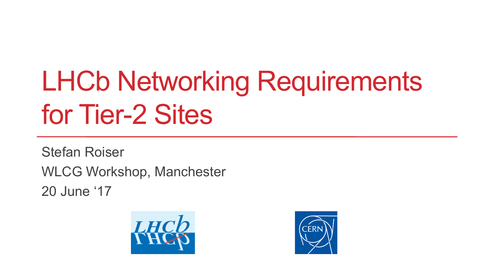# LHCb Networking Requirements for Tier-2 Sites

Stefan Roiser WLCG Workshop, Manchester 20 June '17



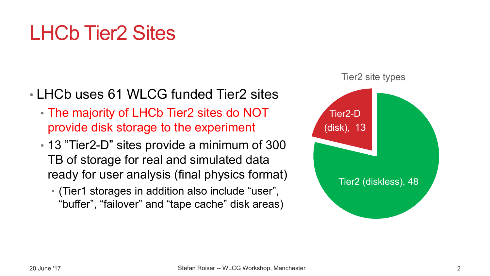### LHCb Tier2 Sites

- LHCb uses 61 WLCG funded Tier2 sites
	- The majority of LHCb Tier2 sites do NOT provide disk storage to the experiment
	- 13 "Tier2-D" sites provide a minimum of 300 TB of storage for real and simulated data ready for user analysis (final physics format)
		- (Tier1 storages in addition also include "user", "buffer", "failover" and "tape cache" disk areas)

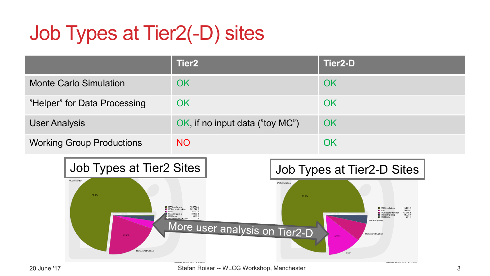## Job Types at Tier2(-D) sites

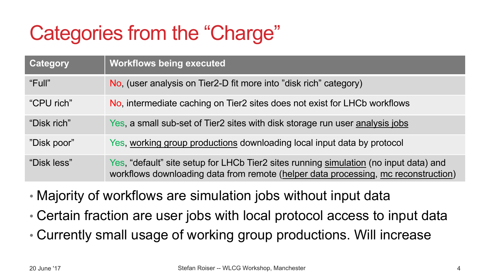### Categories from the "Charge"

| <b>Category</b> | <b>Workflows being executed</b>                                                                                                                                             |
|-----------------|-----------------------------------------------------------------------------------------------------------------------------------------------------------------------------|
| "Full"          | No, (user analysis on Tier2-D fit more into "disk rich" category)                                                                                                           |
| "CPU rich"      | No, intermediate caching on Tier2 sites does not exist for LHCb workflows                                                                                                   |
| "Disk rich"     | Yes, a small sub-set of Tier2 sites with disk storage run user analysis jobs                                                                                                |
| "Disk poor"     | Yes, working group productions downloading local input data by protocol                                                                                                     |
| "Disk less"     | Yes, "default" site setup for LHCb Tier2 sites running simulation (no input data) and<br>workflows downloading data from remote (helper data processing, mc reconstruction) |

• Majority of workflows are simulation jobs without input data

• Certain fraction are user jobs with local protocol access to input data

• Currently small usage of working group productions. Will increase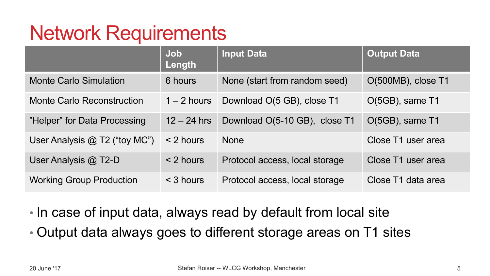#### Network Requirements

|                                   | Job<br>Length | <b>Input Data</b>              | <b>Output Data</b> |
|-----------------------------------|---------------|--------------------------------|--------------------|
| <b>Monte Carlo Simulation</b>     | 6 hours       | None (start from random seed)  | O(500MB), close T1 |
| <b>Monte Carlo Reconstruction</b> | $1 - 2$ hours | Download O(5 GB), close T1     | O(5GB), same T1    |
| "Helper" for Data Processing      | $12 - 24$ hrs | Download O(5-10 GB), close T1  | O(5GB), same T1    |
| User Analysis @ T2 ("toy MC")     | < 2 hours     | <b>None</b>                    | Close T1 user area |
| User Analysis @ T2-D              | $<$ 2 hours   | Protocol access, local storage | Close T1 user area |
| <b>Working Group Production</b>   | $<$ 3 hours   | Protocol access, local storage | Close T1 data area |

• In case of input data, always read by default from local site

• Output data always goes to different storage areas on T1 sites